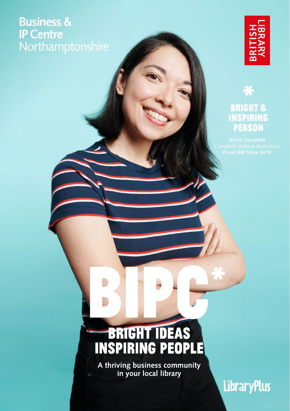## **Business & IP Centre** Northamptonshire



### \* **BRIGHT & INSPIRING PERSON**

# BRIGHT IDEAS<br>INSPIRING PEOPLE

**A thriving business community in your local library**

**LibraryPlus**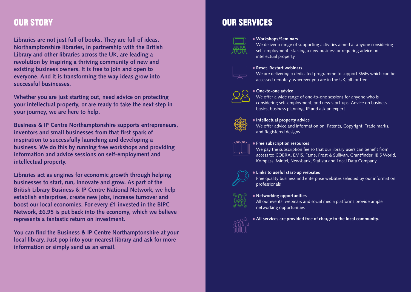## **Our Story**

**Libraries are not just full of books. They are full of ideas. Northamptonshire libraries, in partnership with the British Library and other libraries across the UK, are leading a revolution by inspiring a thriving community of new and existing business owners. It is free to join and open to everyone. And it is transforming the way ideas grow into successful businesses.**

**Whether you are just starting out, need advice on protecting your intellectual property, or are ready to take the next step in your journey, we are here to help.**

**Business & IP Centre Northamptonshire supports entrepreneurs, inventors and small businesses from that first spark of inspiration to successfully launching and developing a business. We do this by running free workshops and providing information and advice sessions on self-employment and intellectual property.** 

**Libraries act as engines for economic growth through helping businesses to start, run, innovate and grow. As part of the British Library Business & IP Centre National Network, we help establish enterprises, create new jobs, increase turnover and boost our local economies. For every £1 invested in the BIPC Network, £6.95 is put back into the economy, which we believe represents a fantastic return on investment.** 

**You can find the Business & IP Centre Northamptonshire at your local library. Just pop into your nearest library and ask for more information or simply send us an email.**

## **OUR SERVICES**



**Workshops/Seminars**

We deliver a range of supporting activities aimed at anyone considering self-employment, starting a new business or requiring advice on intellectual property

#### **Reset. Restart webinars**

We are delivering a dedicated programme to support SMEs which can be accessed remotely, wherever you are in the UK, all for free



#### **One-to-one advice**

We offer a wide range of one-to-one sessions for anyone who is considering self-employment, and new start-ups. Advice on business basics, business planning, IP and ask an expert



#### **Intellectual property advice**

We offer advice and information on: Patents, Copyright, Trade marks, and Registered designs



#### **Free subscription resources**

We pay the subscription fee so that our library users can benefit from access to: COBRA, EMIS, Fame, Frost & Sullivan, Grantfinder, IBIS World, Kompass, Mintel, Newsbank, Statista and Local Data Company



#### **Links to useful start-up websites**

Free quality business and enterprise websites selected by our information professionals

#### **Networking opportunities**

All our events, webinars and social media platforms provide ample networking opportunities



#### **All services are provided free of charge to the local community.**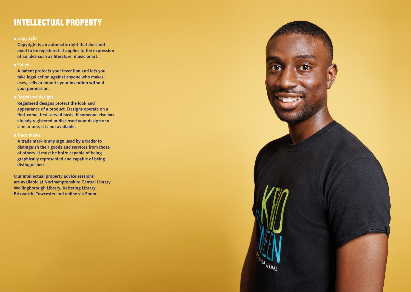## **�ntellectual Property**

#### **Copyright**

**Copyright is an automatic right that does not need to be registered. It applies to the expression of an idea such as literature, music or art.**

#### **Patent**

**A patent protects your invention and lets you take legal action against anyone who makes, uses, sells or imports your invention without your permission.**

#### **Registered designs**

**Registered designs protect the look and appearance of a product. Designs operate on a first-come, first-served basis. If someone else has already registered or disclosed your design or a similar one, it is not available.** 

#### **Trade marks**

**A trade mark is any sign used by a trader to distinguish their goods and services from those of others. It must be both: capable of being graphically represented and capable of being distinguished.**

**Our intellectual property advice sessions are available at Northamptonshire Central Library, Wellingborough Library, Kettering Library, Brixworth, Towcester and online via Zoom.**

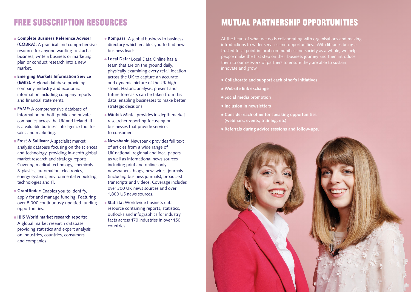## **Free Subscr�pt�on Resources**

- **Complete Business Reference Adviser (COBRA):** A practical and comprehensive resource for anyone wanting to start a business, write a business or marketing plan or conduct research into a new market.
- **Emerging Markets Information Service (EMIS):** A global database providing company, industry and economic information including company reports and financial statements.
- **FAME:** A comprehensive database of information on both public and private companies across the UK and Ireland. It is a valuable business intelligence tool for sales and marketing.
- **Frost & Sullivan:** A specialist market analysis database focusing on the sciences and technology, providing in-depth global market research and strategy reports. Covering medical technology, chemicals & plastics, automation, electronics, energy systems, environmental & building technologies and IT.
- **Grantfinder:** Enables you to identify, apply for and manage funding. Featuring over 8,000 continuously updated funding opportunities.
- **IBIS World market research reports:**  A global market research database providing statistics and expert analysis on industries, countries, consumers and companies.
- **Kompass:** A global business to business directory which enables you to find new business leads.
- **Local Data:** Local Data Online has a team that are on the ground daily, physically examining every retail location across the UK to capture an accurate and dynamic picture of the UK high street. Historic analysis, present and future forecasts can be taken from this data, enabling businesses to make better strategic decisions.
- **Mintel:** Mintel provides in-depth market researcher reporting focussing on businesses that provide services to consumers.
- **Newsbank:** Newsbank provides full text of articles from a wide range of UK national, regional and local papers as well as international news sources including print and online-only newspapers, blogs, newswires, journals (including business journals), broadcast transcripts and videos. Coverage includes over 300 UK news sources and over 1,800 US news sources.
- **Statista:** Worldwide business data resource containing reports, statistics, outlooks and infographics for industry facts across 170 industries in over 150 countries.

# **MUTUAL PARTNERSHIP OPPORTUNITIES**

At the heart of what we do is collaborating with organisations and making introductions to wider services and opportunities. With libraries being a people make the first step on their business journey and then introduce innovate and grow.

- **Collaborate and support each other's initiatives**
- **Website link exchange**
- **Social media promotion**
- **Inclusion in newsletters**
- **Consider each other for speaking opportunities (webinars, events, training, etc)**
- **Referrals during advice sessions and follow-ups.**